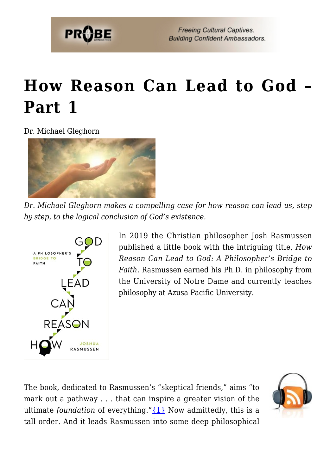

# **[How Reason Can Lead to God –](https://probe.org/how-reason-can-lead-to-god-part-1/) [Part 1](https://probe.org/how-reason-can-lead-to-god-part-1/)**

Dr. Michael Gleghorn



*Dr. Michael Gleghorn makes a compelling case for how reason can lead us, step by step, to the logical conclusion of God's existence.*



In 2019 the Christian philosopher Josh Rasmussen published a little book with the intriguing title, *How Reason Can Lead to God: A Philosopher's Bridge to Faith.* Rasmussen earned his Ph.D. in philosophy from the University of Notre Dame and currently teaches philosophy at Azusa Pacific University.

The book, dedicated to Rasmussen's "skeptical friends," aims "to mark out a pathway . . . that can inspire a greater vision of the ultimate *foundation* of everything.["{1}](#page--1-0) Now admittedly, this is a tall order. And it leads Rasmussen into some deep philosophical

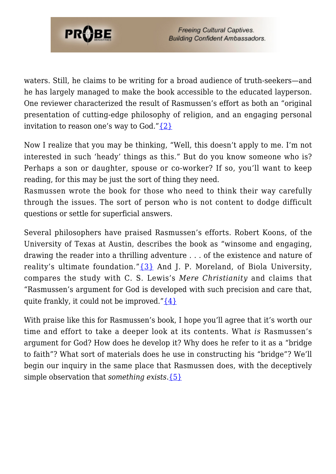

waters. Still, he claims to be writing for a broad audience of truth-seekers—and he has largely managed to make the book accessible to the educated layperson. One reviewer characterized the result of Rasmussen's effort as both an "original presentation of cutting-edge philosophy of religion, and an engaging personal invitation to reason one's way to God." $\{2\}$ 

Now I realize that you may be thinking, "Well, this doesn't apply to me. I'm not interested in such 'heady' things as this." But do you know someone who is? Perhaps a son or daughter, spouse or co-worker? If so, you'll want to keep reading, for this may be just the sort of thing they need.

Rasmussen wrote the book for those who need to think their way carefully through the issues. The sort of person who is not content to dodge difficult questions or settle for superficial answers.

Several philosophers have praised Rasmussen's efforts. Robert Koons, of the University of Texas at Austin, describes the book as "winsome and engaging, drawing the reader into a thrilling adventure . . . of the existence and nature of reality's ultimate foundation." $\{3\}$  And J. P. Moreland, of Biola University, compares the study with C. S. Lewis's *Mere Christianity* and claims that "Rasmussen's argument for God is developed with such precision and care that, quite frankly, it could not be improved." $\{4\}$ 

With praise like this for Rasmussen's book, I hope you'll agree that it's worth our time and effort to take a deeper look at its contents. What *is* Rasmussen's argument for God? How does he develop it? Why does he refer to it as a "bridge to faith"? What sort of materials does he use in constructing his "bridge"? We'll begin our inquiry in the same place that Rasmussen does, with the deceptively simple observation that *something exists*[.{5}](#page--1-0)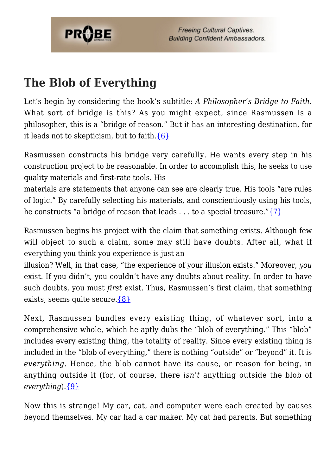

### **The Blob of Everything**

Let's begin by considering the book's subtitle: *A Philosopher's Bridge to Faith.* What sort of bridge is this? As you might expect, since Rasmussen is a philosopher, this is a "bridge of reason." But it has an interesting destination, for it leads not to skepticism, but to faith. $\{6\}$ 

Rasmussen constructs his bridge very carefully. He wants every step in his construction project to be reasonable. In order to accomplish this, he seeks to use quality materials and first-rate tools. His

materials are statements that anyone can see are clearly true. His tools "are rules of logic." By carefully selecting his materials, and conscientiously using his tools, he constructs "a bridge of reason that leads . . . to a special treasure." $\{7\}$ 

Rasmussen begins his project with the claim that something exists. Although few will object to such a claim, some may still have doubts. After all, what if everything you think you experience is just an

illusion? Well, in that case, "the experience of your illusion exists." Moreover, *you* exist. If you didn't, you couldn't have any doubts about reality. In order to have such doubts, you must *first* exist. Thus, Rasmussen's first claim, that something exists, seems quite secure. [{8}](#page--1-0)

Next, Rasmussen bundles every existing thing, of whatever sort, into a comprehensive whole, which he aptly dubs the "blob of everything." This "blob" includes every existing thing, the totality of reality. Since every existing thing is included in the "blob of everything," there is nothing "outside" or "beyond" it. It is *everything*. Hence, the blob cannot have its cause, or reason for being, in anything outside it (for, of course, there *isn't* anything outside the blob of *everything*)[.{9}](#page--1-0)

Now this is strange! My car, cat, and computer were each created by causes beyond themselves. My car had a car maker. My cat had parents. But something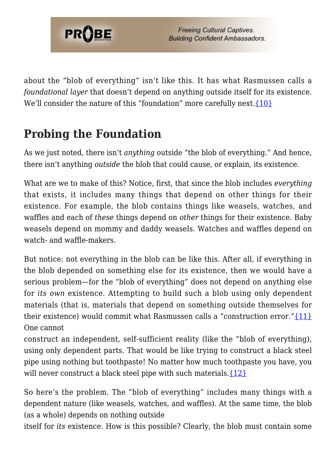

about the "blob of everything" isn't like this. It has what Rasmussen calls a *foundational layer* that doesn't depend on anything outside itself for its existence. We'll consider the nature of this "foundation" more carefully next. [{10}](#page--1-0)

#### **Probing the Foundation**

As we just noted, there isn't *anything* outside "the blob of everything." And hence, there isn't anything *outside* the blob that could cause, or explain, its existence.

What are we to make of this? Notice, first, that since the blob includes *everything* that exists, it includes many things that depend on other things for their existence. For example, the blob contains things like weasels, watches, and waffles and each of *these* things depend on *other* things for their existence. Baby weasels depend on mommy and daddy weasels. Watches and waffles depend on watch- and waffle-makers.

But notice: not everything in the blob can be like this. After all, if everything in the blob depended on something else for its existence, then we would have a serious problem—for the "blob of everything" does not depend on anything else for *its own* existence. Attempting to build such a blob using only dependent materials (that is, materials that depend on something outside themselves for their existence) would commit what Rasmussen calls a "construction error." $\{11\}$ One cannot

construct an independent, self-sufficient reality (like the "blob of everything), using only dependent parts. That would be like trying to construct a black steel pipe using nothing but toothpaste! No matter how much toothpaste you have, you will never construct a black steel pipe with such materials. $\{12\}$ 

So here's the problem. The "blob of everything" includes many things with a dependent nature (like weasels, watches, and waffles). At the same time, the blob (as a whole) depends on nothing outside

itself for *its* existence. How is this possible? Clearly, the blob must contain some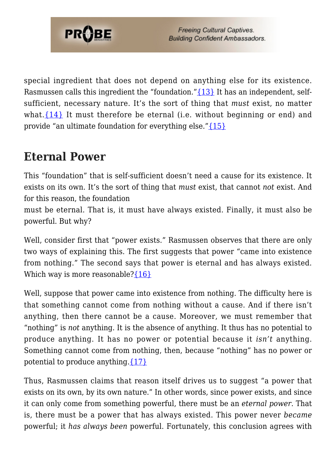

special ingredient that does not depend on anything else for its existence. Rasmussen calls this ingredient the "foundation." {13} It has an independent, selfsufficient, necessary nature. It's the sort of thing that *must* exist, no matter what. $\{14\}$  It must therefore be eternal (i.e. without beginning or end) and provide "an ultimate foundation for everything else." {15}

#### **Eternal Power**

This "foundation" that is self-sufficient doesn't need a cause for its existence. It exists on its own. It's the sort of thing that *must* exist, that cannot *not* exist. And for this reason, the foundation

must be eternal. That is, it must have always existed. Finally, it must also be powerful. But why?

Well, consider first that "power exists." Rasmussen observes that there are only two ways of explaining this. The first suggests that power "came into existence from nothing." The second says that power is eternal and has always existed. Which way is more reasonable? $\{16\}$ 

Well, suppose that power came into existence from nothing. The difficulty here is that something cannot come from nothing without a cause. And if there isn't anything, then there cannot be a cause. Moreover, we must remember that "nothing" is *not* anything. It is the absence of anything. It thus has no potential to produce anything. It has no power or potential because it *isn't* anything. Something cannot come from nothing, then, because "nothing" has no power or potential to produce anything. $\{17\}$ 

Thus, Rasmussen claims that reason itself drives us to suggest "a power that exists on its own, by its own nature." In other words, since power exists, and since it can only come from something powerful, there must be an *eternal power*. That is, there must be a power that has always existed. This power never *became* powerful; it *has always been* powerful. Fortunately, this conclusion agrees with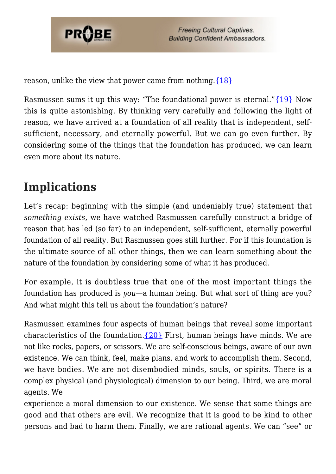

reason, unlike the view that power came from nothing[.{18}](#page--1-0)

Rasmussen sums it up this way: "The foundational power is eternal." $\{19\}$  Now this is quite astonishing. By thinking very carefully and following the light of reason, we have arrived at a foundation of all reality that is independent, selfsufficient, necessary, and eternally powerful. But we can go even further. By considering some of the things that the foundation has produced, we can learn even more about its nature.

## **Implications**

Let's recap: beginning with the simple (and undeniably true) statement that *something exists*, we have watched Rasmussen carefully construct a bridge of reason that has led (so far) to an independent, self-sufficient, eternally powerful foundation of all reality. But Rasmussen goes still further. For if this foundation is the ultimate source of all other things, then we can learn something about the nature of the foundation by considering some of what it has produced.

For example, it is doubtless true that one of the most important things the foundation has produced is *you*—a human being. But what sort of thing are you? And what might this tell us about the foundation's nature?

Rasmussen examines four aspects of human beings that reveal some important characteristics of the foundation. $\{20\}$  First, human beings have minds. We are not like rocks, papers, or scissors. We are self-conscious beings, aware of our own existence. We can think, feel, make plans, and work to accomplish them. Second, we have bodies. We are not disembodied minds, souls, or spirits. There is a complex physical (and physiological) dimension to our being. Third, we are moral agents. We

experience a moral dimension to our existence. We sense that some things are good and that others are evil. We recognize that it is good to be kind to other persons and bad to harm them. Finally, we are rational agents. We can "see" or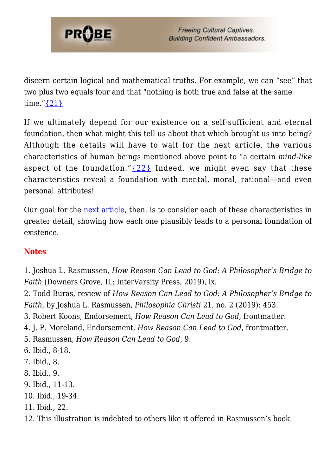

discern certain logical and mathematical truths. For example, we can "see" that two plus two equals four and that "nothing is both true and false at the same time." $\{21\}$ 

If we ultimately depend for our existence on a self-sufficient and eternal foundation, then what might this tell us about that which brought us into being? Although the details will have to wait for the next article, the various characteristics of human beings mentioned above point to "a certain *mind-like* aspect of the foundation." $\{22\}$  Indeed, we might even say that these characteristics reveal a foundation with mental, moral, rational—and even personal attributes!

Our goal for the [next article,](https://probe.org/how-reason-can-lead-to-god-part-2/) then, is to consider each of these characteristics in greater detail, showing how each one plausibly leads to a personal foundation of existence.

#### **Notes**

1. Joshua L. Rasmussen, *How Reason Can Lead to God: A Philosopher's Bridge to Faith* (Downers Grove, IL: InterVarsity Press, 2019), ix.

2. Todd Buras, review of *How Reason Can Lead to God: A Philosopher's Bridge to Faith*, by Joshua L. Rasmussen, *Philosophia Christi* 21, no. 2 (2019): 453.

3. Robert Koons, Endorsement, *How Reason Can Lead to God*, frontmatter.

- 4. J. P. Moreland, Endorsement, *How Reason Can Lead to God*, frontmatter.
- 5. Rasmussen, *How Reason Can Lead to God*, 9.
- 6. Ibid., 8-18.
- 7. Ibid., 8.
- 8. Ibid., 9.
- 9. Ibid., 11-13.
- 10. Ibid., 19-34.
- 11. Ibid., 22.
- 12. This illustration is indebted to others like it offered in Rasmussen's book.